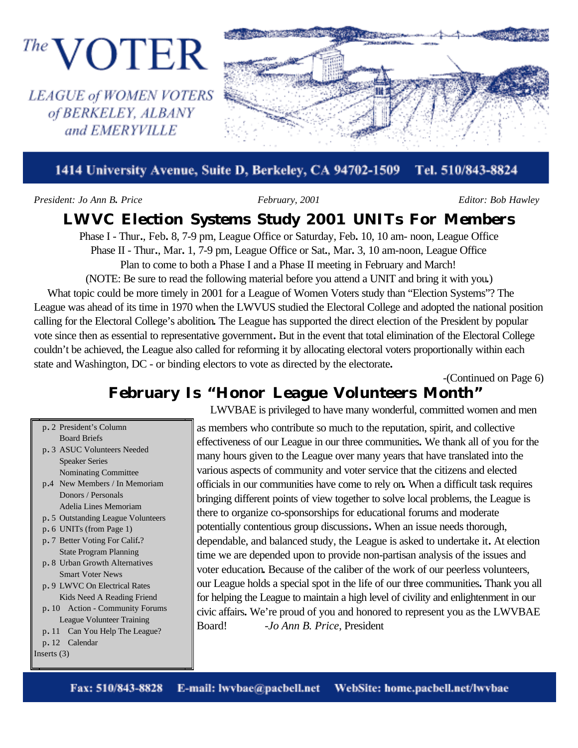

#### Tel. 510/843-8824 1414 University Avenue, Suite D, Berkeley, CA 94702-1509

*President: Jo Ann B. Price February, 2001 Editor: Bob Hawley*

of BERKELEY, ALBANY and EMERYVILLE

# **LWVC Election Systems Study 2001 UNITs For Members**

Phase I - Thur**.**, Feb**.** 8, 7-9 pm, League Office or Saturday, Feb**.** 10, 10 am- noon, League Office Phase II - Thur**.**, Mar**.** 1, 7-9 pm, League Office or Sat**.**, Mar**.** 3, 10 am-noon, League Office Plan to come to both a Phase I and a Phase II meeting in February and March!

(NOTE: Be sure to read the following material before you attend a UNIT and bring it with you**.**) What topic could be more timely in 2001 for a League of Women Voters study than "Election Systems"? The League was ahead of its time in 1970 when the LWVUS studied the Electoral College and adopted the national position calling for the Electoral College's abolition**.** The League has supported the direct election of the President by popular vote since then as essential to representative government**.** But in the event that total elimination of the Electoral College couldn't be achieved, the League also called for reforming it by allocating electoral voters proportionally within each state and Washington, DC - or binding electors to vote as directed by the electorate**.**

-(Continued on Page 6)

# **February Is "Honor League Volunteers Month"**

- p. 2 President's Column Board Briefs
- p**.** 3 ASUC Volunteers Needed Speaker Series Nominating Committee
- p**.**4 New Members / In Memoriam Donors / Personals Adelia Lines Memoriam
- p**.** 5 Outstanding League Volunteers
- p**.** 6 UNITs (from Page 1)
- p**.** 7 Better Voting For Calif**.**? State Program Planning
- p**.** 8 Urban Growth Alternatives Smart Voter News
- p**.** 9 LWVC On Electrical Rates Kids Need A Reading Friend
- p**.** 10 Action Community Forums League Volunteer Training
- p**.** 11 Can You Help The League?

p**.** 12 Calendar

Inserts (3)

LWVBAE is privileged to have many wonderful, committed women and men

as members who contribute so much to the reputation, spirit, and collective effectiveness of our League in our three communities**.** We thank all of you for the many hours given to the League over many years that have translated into the various aspects of community and voter service that the citizens and elected officials in our communities have come to rely on**.** When a difficult task requires bringing different points of view together to solve local problems, the League is there to organize co-sponsorships for educational forums and moderate potentially contentious group discussions**.** When an issue needs thorough, dependable, and balanced study, the League is asked to undertake it**.** At election time we are depended upon to provide non-partisan analysis of the issues and voter education**.** Because of the caliber of the work of our peerless volunteers, our League holds a special spot in the life of our three communities**.** Thank you all for helping the League to maintain a high level of civility and enlightenment in our civic affairs**.** We're proud of you and honored to represent you as the LWVBAE Board! -*Jo Ann B. Price*, President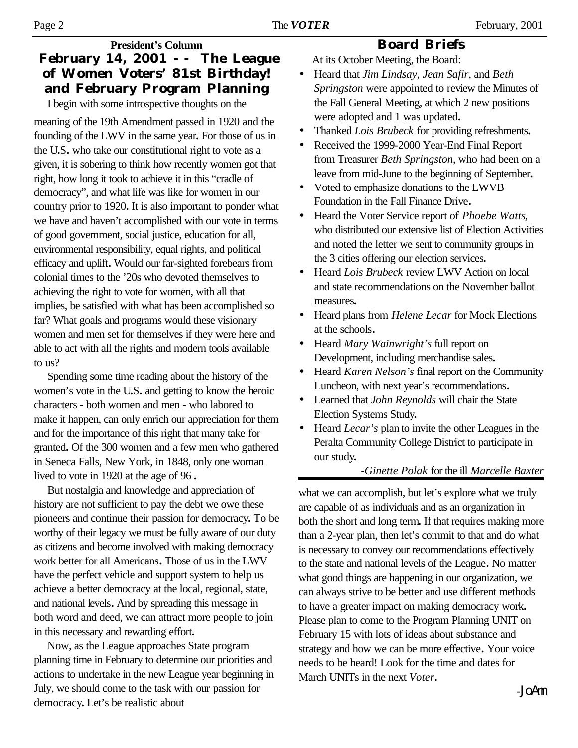### **President's Column February 14, 2001 -- The League of Women Voters' 81st Birthday! and February Program Planning**

I begin with some introspective thoughts on the

meaning of the 19th Amendment passed in 1920 and the founding of the LWV in the same year**.** For those of us in the U**.**S**.** who take our constitutional right to vote as a given, it is sobering to think how recently women got that right, how long it took to achieve it in this "cradle of democracy", and what life was like for women in our country prior to 1920**.** It is also important to ponder what we have and haven't accomplished with our vote in terms of good government, social justice, education for all, environmental responsibility, equal rights, and political efficacy and uplift**.** Would our far-sighted forebears from colonial times to the '20s who devoted themselves to achieving the right to vote for women, with all that implies, be satisfied with what has been accomplished so far? What goals and programs would these visionary women and men set for themselves if they were here and able to act with all the rights and modern tools available to us?

Spending some time reading about the history of the women's vote in the U**.**S**.** and getting to know the heroic characters - both women and men - who labored to make it happen, can only enrich our appreciation for them and for the importance of this right that many take for granted**.** Of the 300 women and a few men who gathered in Seneca Falls, New York, in 1848, only one woman lived to vote in 1920 at the age of 96 **.**

But nostalgia and knowledge and appreciation of history are not sufficient to pay the debt we owe these pioneers and continue their passion for democracy**.** To be worthy of their legacy we must be fully aware of our duty as citizens and become involved with making democracy work better for all Americans**.** Those of us in the LWV have the perfect vehicle and support system to help us achieve a better democracy at the local, regional, state, and national levels**.** And by spreading this message in both word and deed, we can attract more people to join in this necessary and rewarding effort**.**

Now, as the League approaches State program planning time in February to determine our priorities and actions to undertake in the new League year beginning in July, we should come to the task with our passion for democracy**.** Let's be realistic about

## **Board Briefs**

At its October Meeting, the Board:

- Heard that *Jim Lindsay, Jean Safir*, and *Beth Springston* were appointed to review the Minutes of the Fall General Meeting, at which 2 new positions were adopted and 1 was updated**.**
- Thanked *Lois Brubeck* for providing refreshments**.**
- Received the 1999-2000 Year-End Final Report from Treasurer *Beth Springston*, who had been on a leave from mid-June to the beginning of September**.**
- Voted to emphasize donations to the LWVB Foundation in the Fall Finance Drive**.**
- Heard the Voter Service report of *Phoebe Watts*, who distributed our extensive list of Election Activities and noted the letter we sent to community groups in the 3 cities offering our election services**.**
- Heard *Lois Brubeck* review LWV Action on local and state recommendations on the November ballot measures**.**
- Heard plans from *Helene Lecar* for Mock Elections at the schools**.**
- Heard *Mary Wainwright's* full report on Development, including merchandise sales**.**
- Heard *Karen Nelson's* final report on the Community Luncheon, with next year's recommendations**.**
- Learned that *John Reynolds* will chair the State Election Systems Study**.**
- Heard *Lecar's* plan to invite the other Leagues in the Peralta Community College District to participate in our study**.**

### -*Ginette Polak* for the ill *Marcelle Baxter*

what we can accomplish, but let's explore what we truly are capable of as individuals and as an organization in both the short and long term**.** If that requires making more than a 2-year plan, then let's commit to that and do what is necessary to convey our recommendations effectively to the state and national levels of the League**.** No matter what good things are happening in our organization, we can always strive to be better and use different methods to have a greater impact on making democracy work**.** Please plan to come to the Program Planning UNIT on February 15 with lots of ideas about substance and strategy and how we can be more effective**.** Your voice needs to be heard! Look for the time and dates for March UNITs in the next *Voter***.**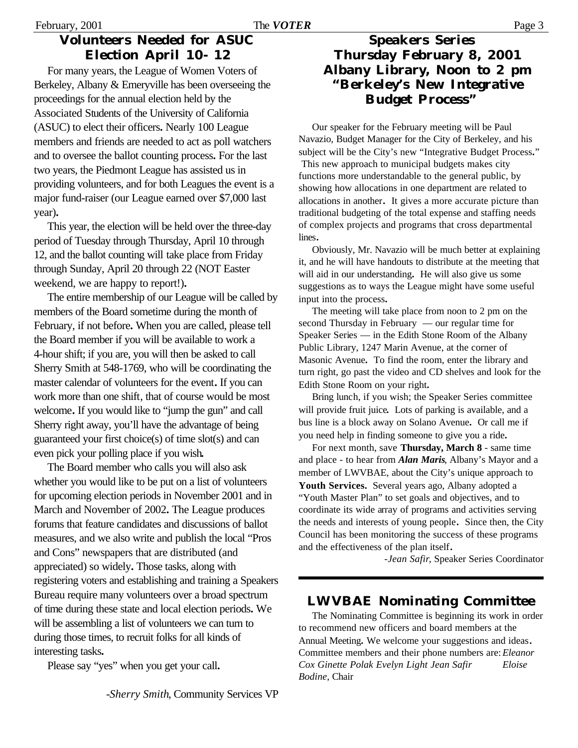### **Volunteers Needed for ASUC Election April 10- 12**

For many years, the League of Women Voters of Berkeley, Albany & Emeryville has been overseeing the proceedings for the annual election held by the Associated Students of the University of California (ASUC) to elect their officers**.** Nearly 100 League members and friends are needed to act as poll watchers and to oversee the ballot counting process**.** For the last two years, the Piedmont League has assisted us in providing volunteers, and for both Leagues the event is a major fund-raiser (our League earned over \$7,000 last year)**.**

This year, the election will be held over the three-day period of Tuesday through Thursday, April 10 through 12, and the ballot counting will take place from Friday through Sunday, April 20 through 22 (NOT Easter weekend, we are happy to report!)**.**

The entire membership of our League will be called by members of the Board sometime during the month of February, if not before**.** When you are called, please tell the Board member if you will be available to work a 4-hour shift; if you are, you will then be asked to call Sherry Smith at 548-1769, who will be coordinating the master calendar of volunteers for the event**.** If you can work more than one shift, that of course would be most welcome**.** If you would like to "jump the gun" and call Sherry right away, you'll have the advantage of being guaranteed your first choice(s) of time slot(s) and can even pick your polling place if you wish**.**

The Board member who calls you will also ask whether you would like to be put on a list of volunteers for upcoming election periods in November 2001 and in March and November of 2002**.** The League produces forums that feature candidates and discussions of ballot measures, and we also write and publish the local "Pros and Cons" newspapers that are distributed (and appreciated) so widely**.** Those tasks, along with registering voters and establishing and training a Speakers Bureau require many volunteers over a broad spectrum of time during these state and local election periods**.** We will be assembling a list of volunteers we can turn to during those times, to recruit folks for all kinds of interesting tasks**.**

Please say "yes" when you get your call**.**

### **Speakers Series Thursday February 8, 2001 Albany Library, Noon to 2 pm "Berkeley's New Integrative Budget Process"**

Our speaker for the February meeting will be Paul Navazio, Budget Manager for the City of Berkeley, and his subject will be the City's new "Integrative Budget Process**.**" This new approach to municipal budgets makes city functions more understandable to the general public, by showing how allocations in one department are related to allocations in another**.** It gives a more accurate picture than traditional budgeting of the total expense and staffing needs of complex projects and programs that cross departmental lines**.**

Obviously, Mr. Navazio will be much better at explaining it, and he will have handouts to distribute at the meeting that will aid in our understanding**.** He will also give us some suggestions as to ways the League might have some useful input into the process**.**

The meeting will take place from noon to 2 pm on the second Thursday in February — our regular time for Speaker Series — in the Edith Stone Room of the Albany Public Library, 1247 Marin Avenue, at the corner of Masonic Avenue**.** To find the room, enter the library and turn right, go past the video and CD shelves and look for the Edith Stone Room on your right**.**

Bring lunch, if you wish; the Speaker Series committee will provide fruit juice**.** Lots of parking is available, and a bus line is a block away on Solano Avenue**.** Or call me if you need help in finding someone to give you a ride**.**

For next month, save **Thursday, March 8** - same time and place - to hear from *Alan Maris*, Albany's Mayor and a member of LWVBAE, about the City's unique approach to **Youth Services.** Several years ago, Albany adopted a "Youth Master Plan" to set goals and objectives, and to coordinate its wide array of programs and activities serving the needs and interests of young people**.** Since then, the City Council has been monitoring the success of these programs and the effectiveness of the plan itself**.**

-*Jean Safir*, Speaker Series Coordinator

## **LWVBAE Nominating Committee**

The Nominating Committee is beginning its work in order to recommend new officers and board members at the Annual Meeting**.** We welcome your suggestions and ideas**.** Committee members and their phone numbers are:*Eleanor Cox Ginette Polak Evelyn Light Jean Safir Eloise Bodine*, Chair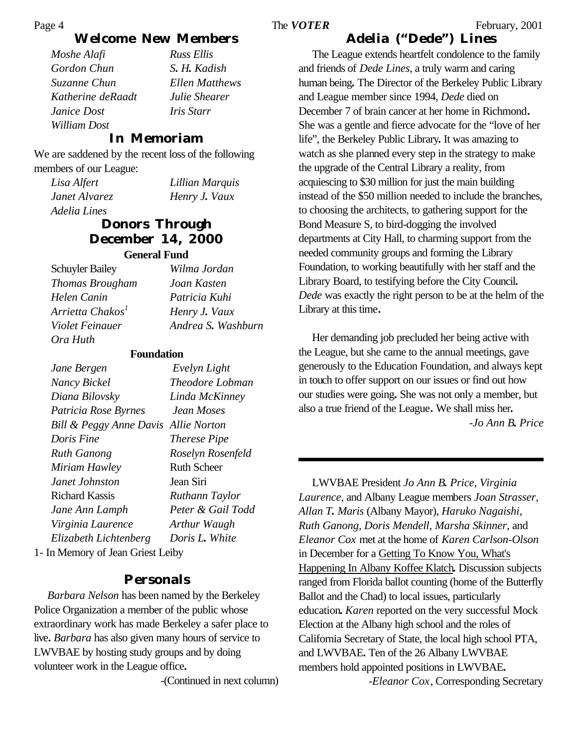### **Welcome New Members**

*Moshe Alafi Russ Ellis Gordon Chun S. H. Kadish Suzanne Chun Ellen Matthews Katherine deRaadt Julie Shearer Janice Dost Iris Starr William Dost*

#### **In Memoriam**

We are saddened by the recent loss of the following members of our League:

*Lisa Alfert Lillian Marquis Janet Alvarez Henry J. Vaux Adelia Lines* 

### **Donors Through December 14, 2000**

#### **General Fund**

Schuyler Bailey *Wilma Jordan Thomas Brougham Joan Kasten Helen Canin Patricia Kuhi Arrietta Chakos<sup>1</sup> Henry J. Vaux Ora Huth*

*Violet Feinauer Andrea S. Washburn*

#### **Foundation**

| Jane Bergen                          | Evelyn Light        |
|--------------------------------------|---------------------|
| Nancy Bickel                         | Theodore Lobman     |
| Diana Bilovsky                       | Linda McKinney      |
| Patricia Rose Byrnes                 | Jean Moses          |
| Bill & Peggy Anne Davis Allie Norton |                     |
| Doris Fine                           | <i>Therese Pipe</i> |
| <b>Ruth Ganong</b>                   | Roselyn Rosenfeld   |
| Miriam Hawley                        | Ruth Scheer         |
| Janet Johnston                       | Jean Siri           |
| Richard Kassis                       | Ruthann Taylor      |
| Jane Ann Lamph                       | Peter & Gail Todd   |
| Virginia Laurence                    | Arthur Waugh        |
| Elizabeth Lichtenberg                | Doris L. White      |

1- In Memory of Jean Griest Leiby

#### **Personals**

*Barbara Nelson* has been named by the Berkeley Police Organization a member of the public whose extraordinary work has made Berkeley a safer place to live**.** *Barbara* has also given many hours of service to LWVBAE by hosting study groups and by doing volunteer work in the League office**.**

-(Continued in next column)

#### **Adelia ("Dede") Lines**

The League extends heartfelt condolence to the family and friends of *Dede Lines*, a truly warm and caring human being**.** The Director of the Berkeley Public Library and League member since 1994, *Dede* died on December 7 of brain cancer at her home in Richmond**.** She was a gentle and fierce advocate for the "love of her life", the Berkeley Public Library**.** It was amazing to watch as she planned every step in the strategy to make the upgrade of the Central Library a reality, from acquiescing to \$30 million for just the main building instead of the \$50 million needed to include the branches, to choosing the architects, to gathering support for the Bond Measure S, to bird-dogging the involved departments at City Hall, to charming support from the needed community groups and forming the Library Foundation, to working beautifully with her staff and the Library Board, to testifying before the City Council**.** *Dede* was exactly the right person to be at the helm of the Library at this time**.**

Her demanding job precluded her being active with the League, but she came to the annual meetings, gave generously to the Education Foundation, and always kept in touch to offer support on our issues or find out how our studies were going**.** She was not only a member, but also a true friend of the League**.** We shall miss her**.** -*Jo Ann B. Price*

LWVBAE President *Jo Ann B. Price, Virginia Laurence*, and Albany League members *Joan Strasser, Allan T. Maris* (Albany Mayor), *Haruko Nagaishi, Ruth Ganong, Doris Mendell, Marsha Skinner*, and *Eleanor Cox* met at the home of *Karen Carlson-Olson* in December for a Getting To Know You, What's Happening In Albany Koffee Klatch**.** Discussion subjects ranged from Florida ballot counting (home of the Butterfly Ballot and the Chad) to local issues, particularly education**.** *Karen* reported on the very successful Mock Election at the Albany high school and the roles of California Secretary of State, the local high school PTA, and LWVBAE**.** Ten of the 26 Albany LWVBAE members hold appointed positions in LWVBAE**.** -*Eleanor Cox*, Corresponding Secretary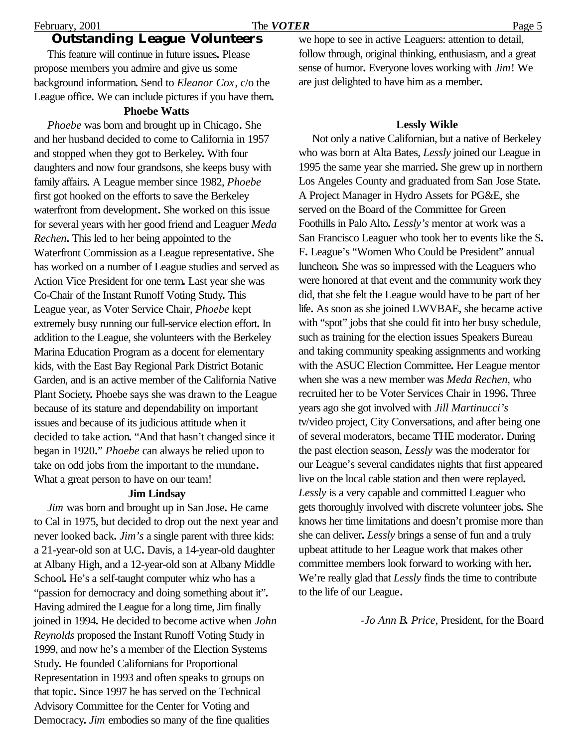#### **Outstanding League Volunteers**

This feature will continue in future issues**.** Please propose members you admire and give us some background information**.** Send to *Eleanor Cox*, c/o the League office**.** We can include pictures if you have them**.**

#### **Phoebe Watts**

*Phoebe* was born and brought up in Chicago**.** She and her husband decided to come to California in 1957 and stopped when they got to Berkeley**.** With four daughters and now four grandsons, she keeps busy with family affairs**.** A League member since 1982, *Phoebe* first got hooked on the efforts to save the Berkeley waterfront from development**.** She worked on this issue for several years with her good friend and Leaguer *Meda Rechen***.** This led to her being appointed to the Waterfront Commission as a League representative**.** She has worked on a number of League studies and served as Action Vice President for one term**.** Last year she was Co-Chair of the Instant Runoff Voting Study**.** This League year, as Voter Service Chair, *Phoebe* kept extremely busy running our full-service election effort**.** In addition to the League, she volunteers with the Berkeley Marina Education Program as a docent for elementary kids, with the East Bay Regional Park District Botanic Garden, and is an active member of the California Native Plant Society**.** Phoebe says she was drawn to the League because of its stature and dependability on important issues and because of its judicious attitude when it decided to take action**.** "And that hasn't changed since it began in 1920**.**" *Phoebe* can always be relied upon to take on odd jobs from the important to the mundane**.** What a great person to have on our team!

#### **Jim Lindsay**

*Jim* was born and brought up in San Jose**.** He came to Cal in 1975, but decided to drop out the next year and never looked back**.** *Jim's* a single parent with three kids: a 21-year-old son at U**.**C**.** Davis, a 14-year-old daughter at Albany High, and a 12-year-old son at Albany Middle School**.** He's a self-taught computer whiz who has a "passion for democracy and doing something about it"**.** Having admired the League for a long time, Jim finally joined in 1994**.** He decided to become active when *John Reynolds* proposed the Instant Runoff Voting Study in 1999, and now he's a member of the Election Systems Study**.** He founded Californians for Proportional Representation in 1993 and often speaks to groups on that topic**.** Since 1997 he has served on the Technical Advisory Committee for the Center for Voting and Democracy**.** *Jim* embodies so many of the fine qualities

we hope to see in active Leaguers: attention to detail, follow through, original thinking, enthusiasm, and a great sense of humor**.** Everyone loves working with *Jim*! We are just delighted to have him as a member**.**

#### **Lessly Wikle**

Not only a native Californian, but a native of Berkeley who was born at Alta Bates, *Lessly* joined our League in 1995 the same year she married**.** She grew up in northern Los Angeles County and graduated from San Jose State**.** A Project Manager in Hydro Assets for PG&E, she served on the Board of the Committee for Green Foothills in Palo Alto**.** *Lessly's* mentor at work was a San Francisco Leaguer who took her to events like the S**.** F**.** League's "Women Who Could be President" annual luncheon**.** She was so impressed with the Leaguers who were honored at that event and the community work they did, that she felt the League would have to be part of her life**.** As soon as she joined LWVBAE, she became active with "spot" jobs that she could fit into her busy schedule, such as training for the election issues Speakers Bureau and taking community speaking assignments and working with the ASUC Election Committee**.** Her League mentor when she was a new member was *Meda Rechen*, who recruited her to be Voter Services Chair in 1996**.** Three years ago she got involved with *Jill Martinucci's* tv/video project, City Conversations, and after being one of several moderators, became THE moderator**.** During the past election season, *Lessly* was the moderator for our League's several candidates nights that first appeared live on the local cable station and then were replayed**.** *Lessly* is a very capable and committed Leaguer who gets thoroughly involved with discrete volunteer jobs**.** She knows her time limitations and doesn't promise more than she can deliver**.** *Lessly* brings a sense of fun and a truly upbeat attitude to her League work that makes other committee members look forward to working with her**.** We're really glad that *Lessly* finds the time to contribute to the life of our League**.**

-*Jo Ann B. Price*, President, for the Board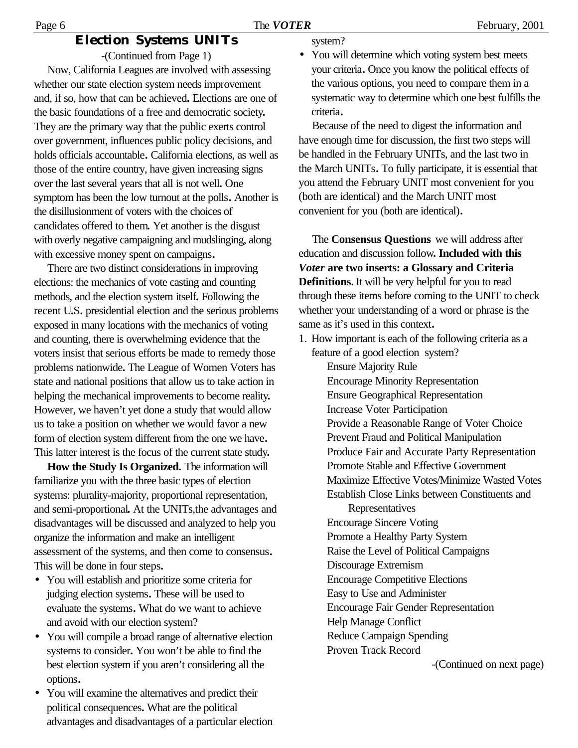### **Election Systems UNITs**

-(Continued from Page 1) Now, California Leagues are involved with assessing whether our state election system needs improvement and, if so, how that can be achieved**.** Elections are one of the basic foundations of a free and democratic society**.** They are the primary way that the public exerts control over government, influences public policy decisions, and holds officials accountable**.** California elections, as well as those of the entire country, have given increasing signs over the last several years that all is not well**.** One symptom has been the low turnout at the polls**.** Another is the disillusionment of voters with the choices of candidates offered to them**.** Yet another is the disgust with overly negative campaigning and mudslinging, along with excessive money spent on campaigns**.**

There are two distinct considerations in improving elections: the mechanics of vote casting and counting methods, and the election system itself**.** Following the recent U**.**S**.** presidential election and the serious problems exposed in many locations with the mechanics of voting and counting, there is overwhelming evidence that the voters insist that serious efforts be made to remedy those problems nationwide**.** The League of Women Voters has state and national positions that allow us to take action in helping the mechanical improvements to become reality**.** However, we haven't yet done a study that would allow us to take a position on whether we would favor a new form of election system different from the one we have**.** This latter interest is the focus of the current state study**.**

**How the Study Is Organized.** The information will familiarize you with the three basic types of election systems: plurality-majority, proportional representation, and semi-proportional**.** At the UNITs,the advantages and disadvantages will be discussed and analyzed to help you organize the information and make an intelligent assessment of the systems, and then come to consensus**.** This will be done in four steps**.**

- You will establish and prioritize some criteria for judging election systems**.** These will be used to evaluate the systems**.** What do we want to achieve and avoid with our election system?
- You will compile a broad range of alternative election systems to consider**.** You won't be able to find the best election system if you aren't considering all the options**.**
- You will examine the alternatives and predict their political consequences**.** What are the political advantages and disadvantages of a particular election

system?

• You will determine which voting system best meets your criteria**.** Once you know the political effects of the various options, you need to compare them in a systematic way to determine which one best fulfills the criteria**.**

Because of the need to digest the information and have enough time for discussion, the first two steps will be handled in the February UNITs, and the last two in the March UNITs**.** To fully participate, it is essential that you attend the February UNIT most convenient for you (both are identical) and the March UNIT most convenient for you (both are identical)**.**

The **Consensus Questions** we will address after education and discussion follow**. Included with this**  *Voter* **are two inserts: a Glossary and Criteria Definitions.** It will be very helpful for you to read through these items before coming to the UNIT to check whether your understanding of a word or phrase is the same as it's used in this context**.**

1. How important is each of the following criteria as a feature of a good election system? Ensure Majority Rule Encourage Minority Representation Ensure Geographical Representation Increase Voter Participation Provide a Reasonable Range of Voter Choice Prevent Fraud and Political Manipulation Produce Fair and Accurate Party Representation Promote Stable and Effective Government Maximize Effective Votes/Minimize Wasted Votes Establish Close Links between Constituents and

> **Representatives** Encourage Sincere Voting Promote a Healthy Party System Raise the Level of Political Campaigns Discourage Extremism Encourage Competitive Elections Easy to Use and Administer Encourage Fair Gender Representation Help Manage Conflict Reduce Campaign Spending Proven Track Record

> > -(Continued on next page)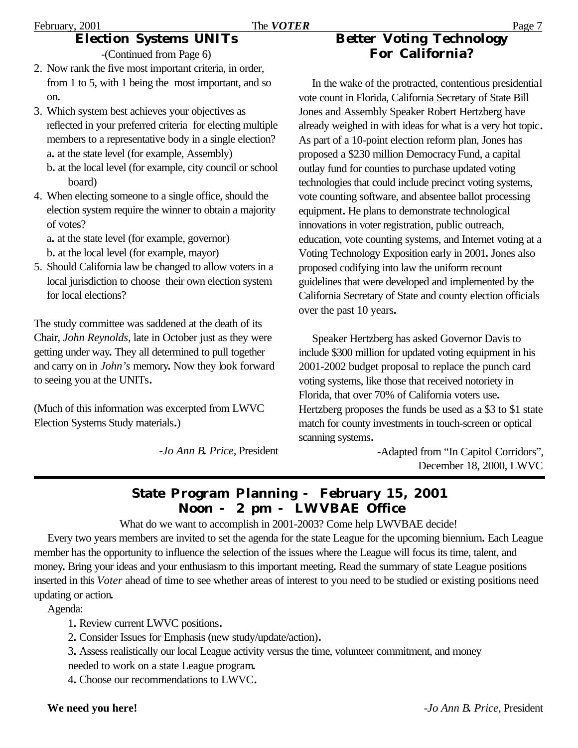#### February, 2001 **The** *VOTER* Page 7 **Election Systems UNITs**

-(Continued from Page 6)

- 2. Now rank the five most important criteria, in order, from 1 to 5, with 1 being the most important, and so on**.**
- 3. Which system best achieves your objectives as reflected in your preferred criteria for electing multiple members to a representative body in a single election? a**.** at the state level (for example, Assembly) b**.** at the local level (for example, city council or school board)
- 4. When electing someone to a single office, should the election system require the winner to obtain a majority of votes?

a**.** at the state level (for example, governor) b**.** at the local level (for example, mayor)

5. Should California law be changed to allow voters in a local jurisdiction to choose their own election system for local elections?

The study committee was saddened at the death of its Chair, *John Reynolds*, late in October just as they were getting under way**.** They all determined to pull together and carry on in *John's* memory**.** Now they look forward to seeing you at the UNITs**.**

(Much of this information was excerpted from LWVC Election Systems Study materials**.**)

-*Jo Ann B. Price*, President

## **Better Voting Technology For California?**

In the wake of the protracted, contentious presidential vote count in Florida, California Secretary of State Bill Jones and Assembly Speaker Robert Hertzberg have already weighed in with ideas for what is a very hot topic**.** As part of a 10-point election reform plan, Jones has proposed a \$230 million Democracy Fund, a capital outlay fund for counties to purchase updated voting technologies that could include precinct voting systems, vote counting software, and absentee ballot processing equipment**.** He plans to demonstrate technological innovations in voter registration, public outreach, education, vote counting systems, and Internet voting at a Voting Technology Exposition early in 2001**.** Jones also proposed codifying into law the uniform recount guidelines that were developed and implemented by the California Secretary of State and county election officials over the past 10 years**.**

Speaker Hertzberg has asked Governor Davis to include \$300 million for updated voting equipment in his 2001-2002 budget proposal to replace the punch card voting systems, like those that received notoriety in Florida, that over 70% of California voters use**.** Hertzberg proposes the funds be used as a \$3 to \$1 state match for county investments in touch-screen or optical scanning systems**.**

-Adapted from "In Capitol Corridors", December 18, 2000, LWVC

## **State Program Planning - February 15, 2001 Noon - 2 pm - LWVBAE Office**

What do we want to accomplish in 2001-2003? Come help LWVBAE decide!

Every two years members are invited to set the agenda for the state League for the upcoming biennium**.** Each League member has the opportunity to influence the selection of the issues where the League will focus its time, talent, and money**.** Bring your ideas and your enthusiasm to this important meeting**.** Read the summary of state League positions inserted in this *Voter* ahead of time to see whether areas of interest to you need to be studied or existing positions need updating or action**.**

Agenda:

1**.** Review current LWVC positions**.**

2**.** Consider Issues for Emphasis (new study/update/action)**.**

3**.** Assess realistically our local League activity versus the time, volunteer commitment, and money needed to work on a state League program**.**

4**.** Choose our recommendations to LWVC**.**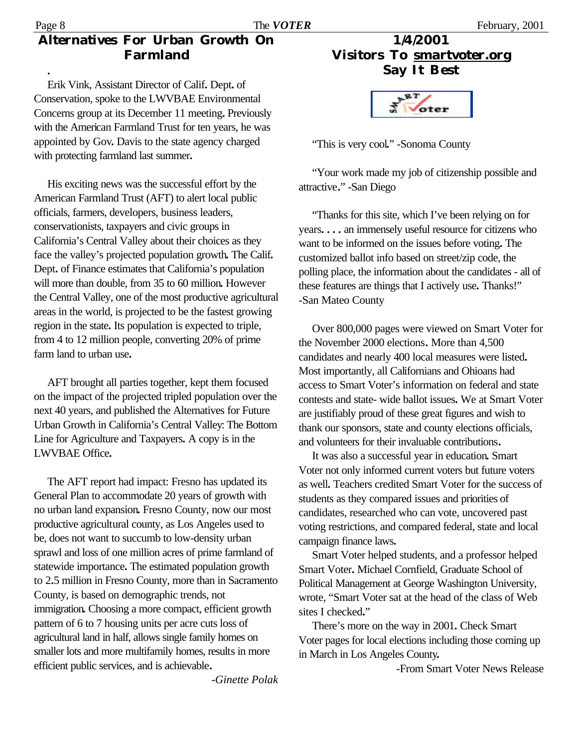## **Alternatives For Urban Growth On Farmland**

**.**

Erik Vink, Assistant Director of Calif**.** Dept**.** of Conservation, spoke to the LWVBAE Environmental Concerns group at its December 11 meeting**.** Previously with the American Farmland Trust for ten years, he was appointed by Gov**.** Davis to the state agency charged with protecting farmland last summer**.**

His exciting news was the successful effort by the American Farmland Trust (AFT) to alert local public officials, farmers, developers, business leaders, conservationists, taxpayers and civic groups in California's Central Valley about their choices as they face the valley's projected population growth**.** The Calif**.** Dept**.** of Finance estimates that California's population will more than double, from 35 to 60 million**.** However the Central Valley, one of the most productive agricultural areas in the world, is projected to be the fastest growing region in the state**.** Its population is expected to triple, from 4 to 12 million people, converting 20% of prime farm land to urban use**.**

AFT brought all parties together, kept them focused on the impact of the projected tripled population over the next 40 years, and published the Alternatives for Future Urban Growth in California's Central Valley: The Bottom Line for Agriculture and Taxpayers**.** A copy is in the LWVBAE Office**.**

The AFT report had impact: Fresno has updated its General Plan to accommodate 20 years of growth with no urban land expansion**.** Fresno County, now our most productive agricultural county, as Los Angeles used to be, does not want to succumb to low-density urban sprawl and loss of one million acres of prime farmland of statewide importance**.** The estimated population growth to 2**.**5 million in Fresno County, more than in Sacramento County, is based on demographic trends, not immigration**.** Choosing a more compact, efficient growth pattern of 6 to 7 housing units per acre cuts loss of agricultural land in half, allows single family homes on smaller lots and more multifamily homes, results in more efficient public services, and is achievable**.**

**1/4/2001 Visitors To smartvoter.org Say It Best**



"This is very cool**.**" -Sonoma County

"Your work made my job of citizenship possible and attractive**.**" -San Diego

"Thanks for this site, which I've been relying on for years**. . . .** an immensely useful resource for citizens who want to be informed on the issues before voting**.** The customized ballot info based on street/zip code, the polling place, the information about the candidates - all of these features are things that I actively use**.** Thanks!" -San Mateo County

Over 800,000 pages were viewed on Smart Voter for the November 2000 elections**.** More than 4,500 candidates and nearly 400 local measures were listed**.** Most importantly, all Californians and Ohioans had access to Smart Voter's information on federal and state contests and state- wide ballot issues**.** We at Smart Voter are justifiably proud of these great figures and wish to thank our sponsors, state and county elections officials, and volunteers for their invaluable contributions**.**

It was also a successful year in education**.** Smart Voter not only informed current voters but future voters as well**.** Teachers credited Smart Voter for the success of students as they compared issues and priorities of candidates, researched who can vote, uncovered past voting restrictions, and compared federal, state and local campaign finance laws**.**

Smart Voter helped students, and a professor helped Smart Voter**.** Michael Cornfield, Graduate School of Political Management at George Washington University, wrote, "Smart Voter sat at the head of the class of Web sites I checked**.**"

There's more on the way in 2001**.** Check Smart Voter pages for local elections including those coming up in March in Los Angeles County**.**

-From Smart Voter News Release

-*Ginette Polak*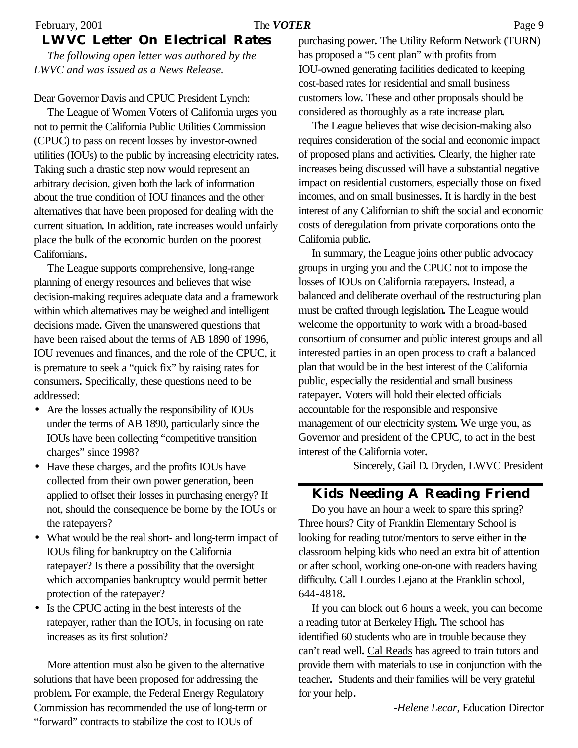## **LWVC Letter On Electrical Rates**

*The following open letter was authored by the LWVC and was issued as a News Release.*

Dear Governor Davis and CPUC President Lynch:

The League of Women Voters of California urges you not to permit the California Public Utilities Commission (CPUC) to pass on recent losses by investor-owned utilities (IOUs) to the public by increasing electricity rates**.** Taking such a drastic step now would represent an arbitrary decision, given both the lack of information about the true condition of IOU finances and the other alternatives that have been proposed for dealing with the current situation**.** In addition, rate increases would unfairly place the bulk of the economic burden on the poorest Californians**.**

The League supports comprehensive, long-range planning of energy resources and believes that wise decision-making requires adequate data and a framework within which alternatives may be weighed and intelligent decisions made**.** Given the unanswered questions that have been raised about the terms of AB 1890 of 1996, IOU revenues and finances, and the role of the CPUC, it is premature to seek a "quick fix" by raising rates for consumers**.** Specifically, these questions need to be addressed:

- Are the losses actually the responsibility of IOUs under the terms of AB 1890, particularly since the IOUs have been collecting "competitive transition charges" since 1998?
- Have these charges, and the profits IOUs have collected from their own power generation, been applied to offset their losses in purchasing energy? If not, should the consequence be borne by the IOUs or the ratepayers?
- What would be the real short- and long-term impact of IOUs filing for bankruptcy on the California ratepayer? Is there a possibility that the oversight which accompanies bankruptcy would permit better protection of the ratepayer?
- Is the CPUC acting in the best interests of the ratepayer, rather than the IOUs, in focusing on rate increases as its first solution?

More attention must also be given to the alternative solutions that have been proposed for addressing the problem**.** For example, the Federal Energy Regulatory Commission has recommended the use of long-term or "forward" contracts to stabilize the cost to IOUs of

purchasing power**.** The Utility Reform Network (TURN) has proposed a "5 cent plan" with profits from IOU-owned generating facilities dedicated to keeping cost-based rates for residential and small business customers low**.** These and other proposals should be considered as thoroughly as a rate increase plan**.**

The League believes that wise decision-making also requires consideration of the social and economic impact of proposed plans and activities**.** Clearly, the higher rate increases being discussed will have a substantial negative impact on residential customers, especially those on fixed incomes, and on small businesses**.** It is hardly in the best interest of any Californian to shift the social and economic costs of deregulation from private corporations onto the California public**.**

In summary, the League joins other public advocacy groups in urging you and the CPUC not to impose the losses of IOUs on California ratepayers**.** Instead, a balanced and deliberate overhaul of the restructuring plan must be crafted through legislation**.** The League would welcome the opportunity to work with a broad-based consortium of consumer and public interest groups and all interested parties in an open process to craft a balanced plan that would be in the best interest of the California public, especially the residential and small business ratepayer**.** Voters will hold their elected officials accountable for the responsible and responsive management of our electricity system**.** We urge you, as Governor and president of the CPUC, to act in the best interest of the California voter**.**

Sincerely, Gail D**.** Dryden, LWVC President

### **Kids Needing A Reading Friend**

Do you have an hour a week to spare this spring? Three hours? City of Franklin Elementary School is looking for reading tutor/mentors to serve either in the classroom helping kids who need an extra bit of attention or after school, working one-on-one with readers having difficulty**.** Call Lourdes Lejano at the Franklin school, 644-4818**.**

If you can block out 6 hours a week, you can become a reading tutor at Berkeley High**.** The school has identified 60 students who are in trouble because they can't read well**.** Cal Reads has agreed to train tutors and provide them with materials to use in conjunction with the teacher**.** Students and their families will be very grateful for your help**.**

-*Helene Lecar*, Education Director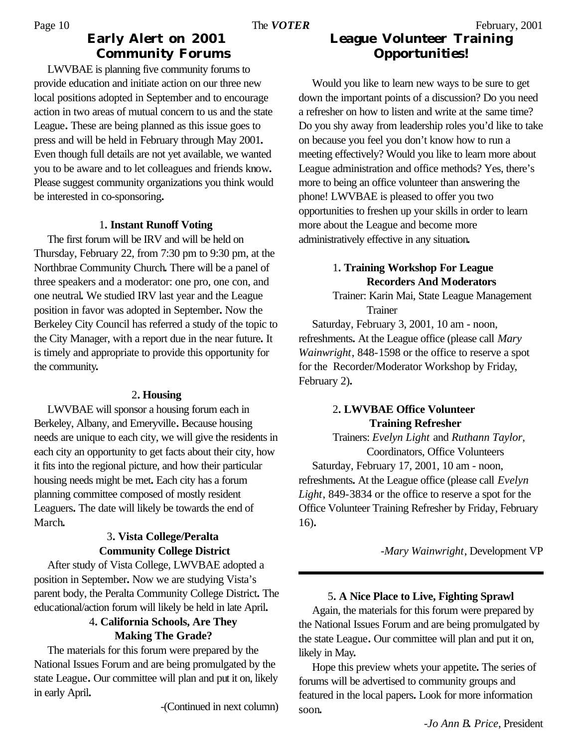### **Early Alert on 2001 Community Forums** Page 10 The *VOTER* February, 2001

LWVBAE is planning five community forums to provide education and initiate action on our three new local positions adopted in September and to encourage action in two areas of mutual concern to us and the state League**.** These are being planned as this issue goes to press and will be held in February through May 2001**.** Even though full details are not yet available, we wanted you to be aware and to let colleagues and friends know**.** Please suggest community organizations you think would be interested in co-sponsoring**.**

#### 1**. Instant Runoff Voting**

The first forum will be IRV and will be held on Thursday, February 22, from 7:30 pm to 9:30 pm, at the Northbrae Community Church**.** There will be a panel of three speakers and a moderator: one pro, one con, and one neutral**.** We studied IRV last year and the League position in favor was adopted in September**.** Now the Berkeley City Council has referred a study of the topic to the City Manager, with a report due in the near future**.** It is timely and appropriate to provide this opportunity for the community**.**

### 2**. Housing**

LWVBAE will sponsor a housing forum each in Berkeley, Albany, and Emeryville**.** Because housing needs are unique to each city, we will give the residents in each city an opportunity to get facts about their city, how it fits into the regional picture, and how their particular housing needs might be met**.** Each city has a forum planning committee composed of mostly resident Leaguers**.** The date will likely be towards the end of March**.**

### 3**. Vista College/Peralta Community College District**

After study of Vista College, LWVBAE adopted a position in September**.** Now we are studying Vista's parent body, the Peralta Community College District**.** The educational/action forum will likely be held in late April**.**

### 4**. California Schools, Are They Making The Grade?**

The materials for this forum were prepared by the National Issues Forum and are being promulgated by the state League**.** Our committee will plan and put it on, likely in early April**.**

-(Continued in next column)

# **League Volunteer Training Opportunities!**

Would you like to learn new ways to be sure to get down the important points of a discussion? Do you need a refresher on how to listen and write at the same time? Do you shy away from leadership roles you'd like to take on because you feel you don't know how to run a meeting effectively? Would you like to learn more about League administration and office methods? Yes, there's more to being an office volunteer than answering the phone! LWVBAE is pleased to offer you two opportunities to freshen up your skills in order to learn more about the League and become more administratively effective in any situation**.**

### 1**. Training Workshop For League Recorders And Moderators**

Trainer: Karin Mai, State League Management Trainer

Saturday, February 3, 2001, 10 am - noon, refreshments**.** At the League office (please call *Mary Wainwright*, 848-1598 or the office to reserve a spot for the Recorder/Moderator Workshop by Friday, February 2)**.**

### 2**. LWVBAE Office Volunteer Training Refresher**

Trainers: *Evelyn Light* and *Ruthann Taylor*, Coordinators, Office Volunteers Saturday, February 17, 2001, 10 am - noon, refreshments**.** At the League office (please call *Evelyn Light*, 849-3834 or the office to reserve a spot for the Office Volunteer Training Refresher by Friday, February 16)**.**

-*Mary Wainwright*, Development VP

### 5**. A Nice Place to Live, Fighting Sprawl**

Again, the materials for this forum were prepared by the National Issues Forum and are being promulgated by the state League**.** Our committee will plan and put it on, likely in May**.**

Hope this preview whets your appetite**.** The series of forums will be advertised to community groups and featured in the local papers**.** Look for more information soon**.**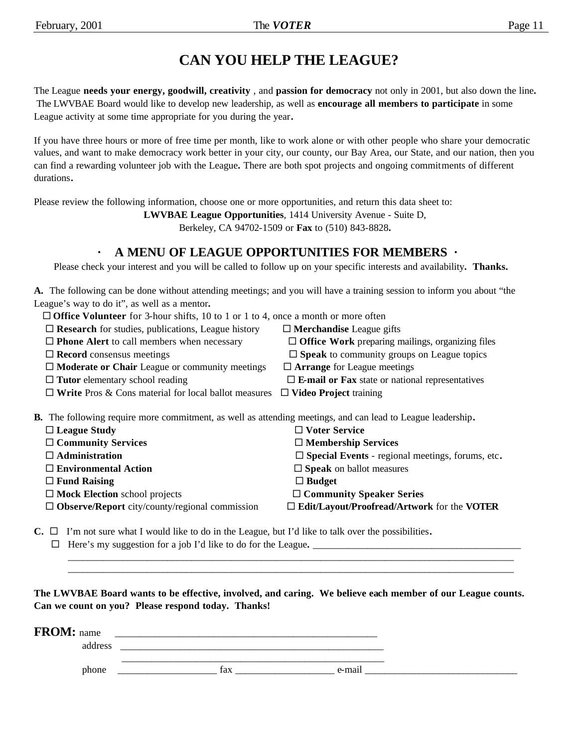# **CAN YOU HELP THE LEAGUE?**

The League **needs your energy, goodwill, creativity** , and **passion for democracy** not only in 2001, but also down the line**.** The LWVBAE Board would like to develop new leadership, as well as **encourage all members to participate** in some League activity at some time appropriate for you during the year**.**

If you have three hours or more of free time per month, like to work alone or with other people who share your democratic values, and want to make democracy work better in your city, our county, our Bay Area, our State, and our nation, then you can find a rewarding volunteer job with the League**.** There are both spot projects and ongoing commitments of different durations**.**

Please review the following information, choose one or more opportunities, and return this data sheet to:

**LWVBAE League Opportunities**, 1414 University Avenue - Suite D,

Berkeley, CA 94702-1509 or **Fax** to (510) 843-8828**.**

### **· A MENU OF LEAGUE OPPORTUNITIES FOR MEMBERS ·**

Please check your interest and you will be called to follow up on your specific interests and availability**. Thanks.**

**A.** The following can be done without attending meetings; and you will have a training session to inform you about "the League's way to do it", as well as a mentor**.**

| $\Box$ <b>Office Volunteer</b> for 3-hour shifts, 10 to 1 or 1 to 4, once a month or more often                    |                                                               |  |  |  |
|--------------------------------------------------------------------------------------------------------------------|---------------------------------------------------------------|--|--|--|
| $\Box$ Research for studies, publications, League history<br>$\Box$ Merchandise League gifts                       |                                                               |  |  |  |
| $\Box$ <b>Phone Alert</b> to call members when necessary                                                           | $\Box$ Office Work preparing mailings, organizing files       |  |  |  |
| $\Box$ Record consensus meetings                                                                                   | $\square$ Speak to community groups on League topics          |  |  |  |
| $\Box$ Moderate or Chair League or community meetings                                                              | $\Box$ Arrange for League meetings                            |  |  |  |
| $\Box$ Tutor elementary school reading                                                                             | $\Box$ <b>E-mail or Fax</b> state or national representatives |  |  |  |
| $\Box$ Write Pros & Cons material for local ballot measures                                                        | $\Box$ Video Project training                                 |  |  |  |
| <b>B.</b> The following require more commitment, as well as attending meetings, and can lead to League leadership. |                                                               |  |  |  |
| $\Box$ League Study                                                                                                | $\Box$ Voter Service                                          |  |  |  |
| $\Box$ Community Services                                                                                          | $\Box$ Membership Services                                    |  |  |  |
| $\Box$ Administration                                                                                              | $\square$ Special Events - regional meetings, forums, etc.    |  |  |  |
| $\Box$ Environmental Action                                                                                        | $\square$ Speak on ballot measures                            |  |  |  |
| $\Box$ Fund Raising                                                                                                | $\Box$ Budget                                                 |  |  |  |
| $\Box$ Mock Election school projects                                                                               | $\Box$ Community Speaker Series                               |  |  |  |
| $\Box$ Observe/Report city/county/regional commission                                                              | $\Box$ Edit/Layout/Proofread/Artwork for the VOTER            |  |  |  |

**C.**  $\Box$  I'm not sure what I would like to do in the League, but I'd like to talk over the possibilities.

® Here's my suggestion for a job I'd like to do for the League**.** \_\_\_\_\_\_\_\_\_\_\_\_\_\_\_\_\_\_\_\_\_\_\_\_\_\_\_\_\_\_\_\_\_\_\_\_\_\_\_\_\_\_

**The LWVBAE Board wants to be effective, involved, and caring. We believe each member of our League counts. Can we count on you? Please respond today. Thanks!**

 $\mathcal{L}_\mathcal{L} = \mathcal{L}_\mathcal{L} = \mathcal{L}_\mathcal{L} = \mathcal{L}_\mathcal{L} = \mathcal{L}_\mathcal{L} = \mathcal{L}_\mathcal{L} = \mathcal{L}_\mathcal{L} = \mathcal{L}_\mathcal{L} = \mathcal{L}_\mathcal{L} = \mathcal{L}_\mathcal{L} = \mathcal{L}_\mathcal{L} = \mathcal{L}_\mathcal{L} = \mathcal{L}_\mathcal{L} = \mathcal{L}_\mathcal{L} = \mathcal{L}_\mathcal{L} = \mathcal{L}_\mathcal{L} = \mathcal{L}_\mathcal{L}$  $\mathcal{L}_\mathcal{L} = \mathcal{L}_\mathcal{L} = \mathcal{L}_\mathcal{L} = \mathcal{L}_\mathcal{L} = \mathcal{L}_\mathcal{L} = \mathcal{L}_\mathcal{L} = \mathcal{L}_\mathcal{L} = \mathcal{L}_\mathcal{L} = \mathcal{L}_\mathcal{L} = \mathcal{L}_\mathcal{L} = \mathcal{L}_\mathcal{L} = \mathcal{L}_\mathcal{L} = \mathcal{L}_\mathcal{L} = \mathcal{L}_\mathcal{L} = \mathcal{L}_\mathcal{L} = \mathcal{L}_\mathcal{L} = \mathcal{L}_\mathcal{L}$ 

| <b>FROM:</b> name |           |  |
|-------------------|-----------|--|
| address           |           |  |
| phone             | $e$ -mai' |  |
|                   | fax       |  |